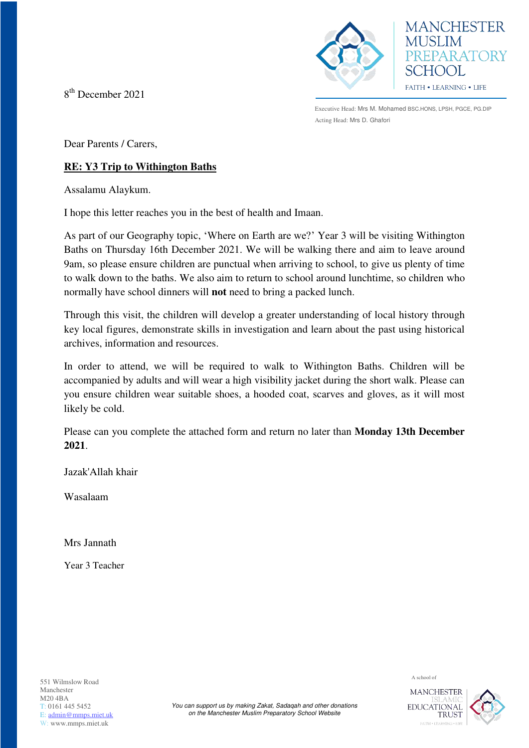8 th December 2021





Executive Head: Mrs M. Mohamed BSC.HONS, LPSH, PGCE, PG.DIP Acting Head: Mrs D. Ghafori

Dear Parents / Carers,

## **RE: Y3 Trip to Withington Baths**

Assalamu Alaykum.

I hope this letter reaches you in the best of health and Imaan.

As part of our Geography topic, 'Where on Earth are we?' Year 3 will be visiting Withington Baths on Thursday 16th December 2021. We will be walking there and aim to leave around 9am, so please ensure children are punctual when arriving to school, to give us plenty of time to walk down to the baths. We also aim to return to school around lunchtime, so children who normally have school dinners will **not** need to bring a packed lunch.

Through this visit, the children will develop a greater understanding of local history through key local figures, demonstrate skills in investigation and learn about the past using historical archives, information and resources.

In order to attend, we will be required to walk to Withington Baths. Children will be accompanied by adults and will wear a high visibility jacket during the short walk. Please can you ensure children wear suitable shoes, a hooded coat, scarves and gloves, as it will most likely be cold.

Please can you complete the attached form and return no later than **Monday 13th December 2021**.

Jazak'Allah khair

Wasalaam

Mrs Jannath

Year 3 Teacher